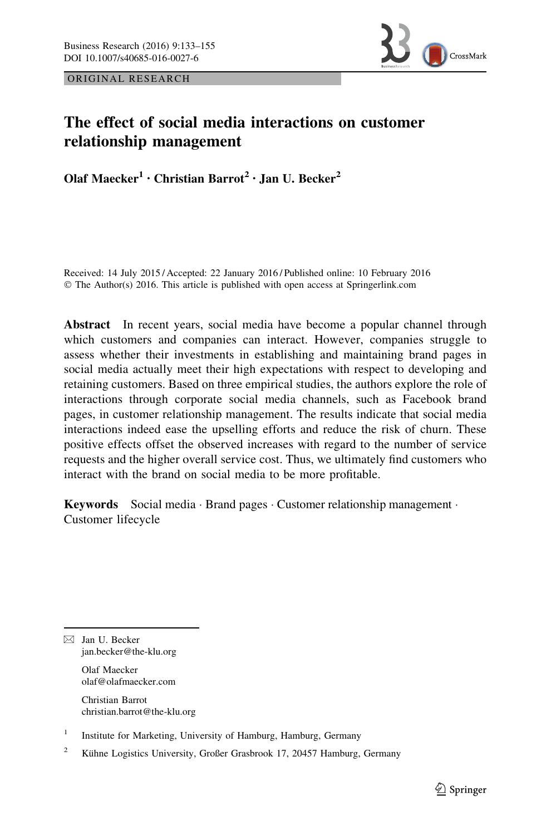ORIGINAL RESEARCH



# The effect of social media interactions on customer relationship management

Olaf Maecker<sup>1</sup> • Christian Barrot<sup>2</sup> • Jan U. Becker<sup>2</sup>

Received: 14 July 2015 / Accepted: 22 January 2016 / Published online: 10 February 2016 © The Author(s) 2016. This article is published with open access at Springerlink.com

Abstract In recent years, social media have become a popular channel through which customers and companies can interact. However, companies struggle to assess whether their investments in establishing and maintaining brand pages in social media actually meet their high expectations with respect to developing and retaining customers. Based on three empirical studies, the authors explore the role of interactions through corporate social media channels, such as Facebook brand pages, in customer relationship management. The results indicate that social media interactions indeed ease the upselling efforts and reduce the risk of churn. These positive effects offset the observed increases with regard to the number of service requests and the higher overall service cost. Thus, we ultimately find customers who interact with the brand on social media to be more profitable.

Keywords Social media · Brand pages · Customer relationship management · Customer lifecycle

 $\boxtimes$  Jan U. Becker jan.becker@the-klu.org

> Olaf Maecker olaf@olafmaecker.com

Christian Barrot christian.barrot@the-klu.org

<sup>1</sup> Institute for Marketing, University of Hamburg, Hamburg, Germany

<sup>&</sup>lt;sup>2</sup> Kühne Logistics University, Großer Grasbrook 17, 20457 Hamburg, Germany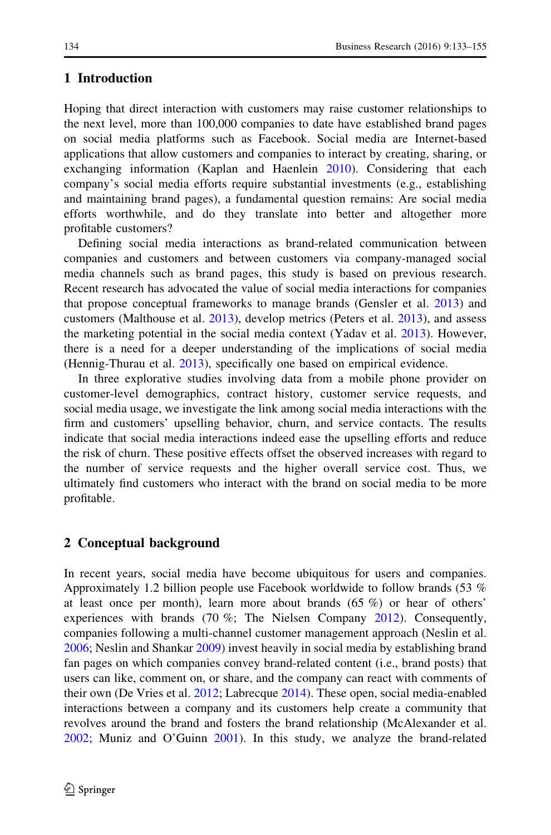### 1 Introduction

Hoping that direct interaction with customers may raise customer relationships to the next level, more than 100,000 companies to date have established brand pages on social media platforms such as Facebook. Social media are Internet-based applications that allow customers and companies to interact by creating, sharing, or exchanging information (Kaplan and Haenlein [2010](#page-21-0)). Considering that each company's social media efforts require substantial investments (e.g., establishing and maintaining brand pages), a fundamental question remains: Are social media efforts worthwhile, and do they translate into better and altogether more profitable customers?

Defining social media interactions as brand-related communication between companies and customers and between customers via company-managed social media channels such as brand pages, this study is based on previous research. Recent research has advocated the value of social media interactions for companies that propose conceptual frameworks to manage brands (Gensler et al. [2013\)](#page-21-0) and customers (Malthouse et al. [2013\)](#page-21-0), develop metrics (Peters et al. [2013](#page-22-0)), and assess the marketing potential in the social media context (Yadav et al. [2013](#page-22-0)). However, there is a need for a deeper understanding of the implications of social media (Hennig-Thurau et al. [2013\)](#page-21-0), specifically one based on empirical evidence.

In three explorative studies involving data from a mobile phone provider on customer-level demographics, contract history, customer service requests, and social media usage, we investigate the link among social media interactions with the firm and customers' upselling behavior, churn, and service contacts. The results indicate that social media interactions indeed ease the upselling efforts and reduce the risk of churn. These positive effects offset the observed increases with regard to the number of service requests and the higher overall service cost. Thus, we ultimately find customers who interact with the brand on social media to be more profitable.

### 2 Conceptual background

In recent years, social media have become ubiquitous for users and companies. Approximately 1.2 billion people use Facebook worldwide to follow brands (53 % at least once per month), learn more about brands  $(65\%)$  or hear of others' experiences with brands (70 %; The Nielsen Company [2012\)](#page-22-0). Consequently, companies following a multi-channel customer management approach (Neslin et al. [2006;](#page-21-0) Neslin and Shankar [2009](#page-21-0)) invest heavily in social media by establishing brand fan pages on which companies convey brand-related content (i.e., brand posts) that users can like, comment on, or share, and the company can react with comments of their own (De Vries et al. [2012;](#page-20-0) Labrecque [2014\)](#page-21-0). These open, social media-enabled interactions between a company and its customers help create a community that revolves around the brand and fosters the brand relationship (McAlexander et al. [2002;](#page-21-0) Muniz and O'Guinn [2001\)](#page-21-0). In this study, we analyze the brand-related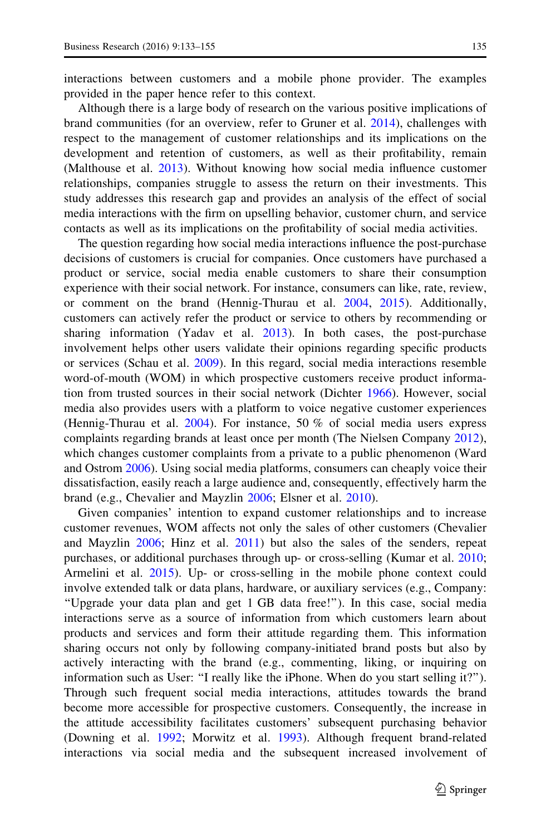interactions between customers and a mobile phone provider. The examples provided in the paper hence refer to this context.

Although there is a large body of research on the various positive implications of brand communities (for an overview, refer to Gruner et al. [2014\)](#page-21-0), challenges with respect to the management of customer relationships and its implications on the development and retention of customers, as well as their profitability, remain (Malthouse et al. [2013](#page-21-0)). Without knowing how social media influence customer relationships, companies struggle to assess the return on their investments. This study addresses this research gap and provides an analysis of the effect of social media interactions with the firm on upselling behavior, customer churn, and service contacts as well as its implications on the profitability of social media activities.

The question regarding how social media interactions influence the post-purchase decisions of customers is crucial for companies. Once customers have purchased a product or service, social media enable customers to share their consumption experience with their social network. For instance, consumers can like, rate, review, or comment on the brand (Hennig-Thurau et al. [2004](#page-21-0), [2015](#page-21-0)). Additionally, customers can actively refer the product or service to others by recommending or sharing information (Yadav et al. [2013\)](#page-22-0). In both cases, the post-purchase involvement helps other users validate their opinions regarding specific products or services (Schau et al. [2009\)](#page-22-0). In this regard, social media interactions resemble word-of-mouth (WOM) in which prospective customers receive product information from trusted sources in their social network (Dichter [1966\)](#page-20-0). However, social media also provides users with a platform to voice negative customer experiences (Hennig-Thurau et al. [2004](#page-21-0)). For instance, 50 % of social media users express complaints regarding brands at least once per month (The Nielsen Company [2012\)](#page-22-0), which changes customer complaints from a private to a public phenomenon (Ward and Ostrom [2006](#page-22-0)). Using social media platforms, consumers can cheaply voice their dissatisfaction, easily reach a large audience and, consequently, effectively harm the brand (e.g., Chevalier and Mayzlin [2006](#page-20-0); Elsner et al. [2010](#page-21-0)).

Given companies' intention to expand customer relationships and to increase customer revenues, WOM affects not only the sales of other customers (Chevalier and Mayzlin [2006;](#page-20-0) Hinz et al. [2011\)](#page-21-0) but also the sales of the senders, repeat purchases, or additional purchases through up- or cross-selling (Kumar et al. [2010;](#page-21-0) Armelini et al. [2015](#page-20-0)). Up- or cross-selling in the mobile phone context could involve extended talk or data plans, hardware, or auxiliary services (e.g., Company: ''Upgrade your data plan and get 1 GB data free!''). In this case, social media interactions serve as a source of information from which customers learn about products and services and form their attitude regarding them. This information sharing occurs not only by following company-initiated brand posts but also by actively interacting with the brand (e.g., commenting, liking, or inquiring on information such as User: "I really like the iPhone. When do you start selling it?"). Through such frequent social media interactions, attitudes towards the brand become more accessible for prospective customers. Consequently, the increase in the attitude accessibility facilitates customers' subsequent purchasing behavior (Downing et al. [1992](#page-20-0); Morwitz et al. [1993](#page-21-0)). Although frequent brand-related interactions via social media and the subsequent increased involvement of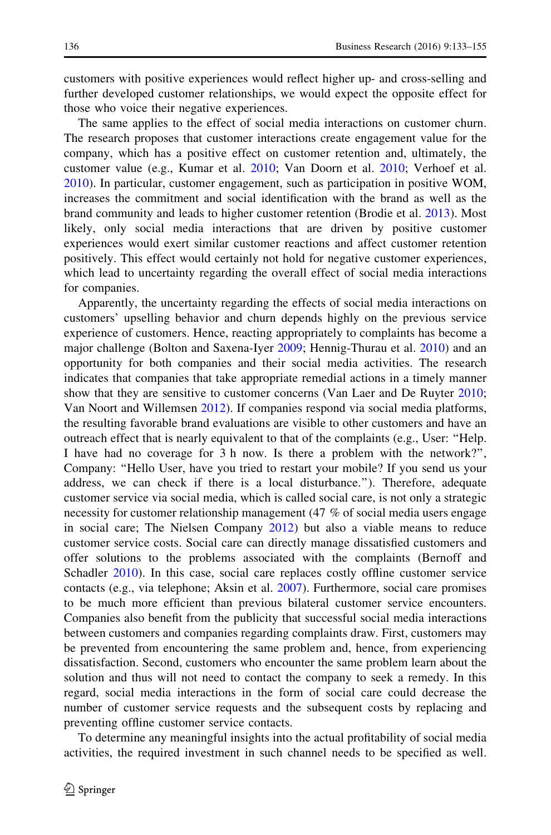customers with positive experiences would reflect higher up- and cross-selling and further developed customer relationships, we would expect the opposite effect for those who voice their negative experiences.

The same applies to the effect of social media interactions on customer churn. The research proposes that customer interactions create engagement value for the company, which has a positive effect on customer retention and, ultimately, the customer value (e.g., Kumar et al. [2010;](#page-21-0) Van Doorn et al. [2010](#page-22-0); Verhoef et al. [2010\)](#page-22-0). In particular, customer engagement, such as participation in positive WOM, increases the commitment and social identification with the brand as well as the brand community and leads to higher customer retention (Brodie et al. [2013](#page-20-0)). Most likely, only social media interactions that are driven by positive customer experiences would exert similar customer reactions and affect customer retention positively. This effect would certainly not hold for negative customer experiences, which lead to uncertainty regarding the overall effect of social media interactions for companies.

Apparently, the uncertainty regarding the effects of social media interactions on customers' upselling behavior and churn depends highly on the previous service experience of customers. Hence, reacting appropriately to complaints has become a major challenge (Bolton and Saxena-Iyer [2009](#page-20-0); Hennig-Thurau et al. [2010](#page-21-0)) and an opportunity for both companies and their social media activities. The research indicates that companies that take appropriate remedial actions in a timely manner show that they are sensitive to customer concerns (Van Laer and De Ruyter [2010;](#page-22-0) Van Noort and Willemsen [2012](#page-22-0)). If companies respond via social media platforms, the resulting favorable brand evaluations are visible to other customers and have an outreach effect that is nearly equivalent to that of the complaints (e.g., User: ''Help. I have had no coverage for 3 h now. Is there a problem with the network?'', Company: ''Hello User, have you tried to restart your mobile? If you send us your address, we can check if there is a local disturbance.''). Therefore, adequate customer service via social media, which is called social care, is not only a strategic necessity for customer relationship management (47 % of social media users engage in social care; The Nielsen Company [2012\)](#page-22-0) but also a viable means to reduce customer service costs. Social care can directly manage dissatisfied customers and offer solutions to the problems associated with the complaints (Bernoff and Schadler [2010](#page-20-0)). In this case, social care replaces costly offline customer service contacts (e.g., via telephone; Aksin et al. [2007](#page-20-0)). Furthermore, social care promises to be much more efficient than previous bilateral customer service encounters. Companies also benefit from the publicity that successful social media interactions between customers and companies regarding complaints draw. First, customers may be prevented from encountering the same problem and, hence, from experiencing dissatisfaction. Second, customers who encounter the same problem learn about the solution and thus will not need to contact the company to seek a remedy. In this regard, social media interactions in the form of social care could decrease the number of customer service requests and the subsequent costs by replacing and preventing offline customer service contacts.

To determine any meaningful insights into the actual profitability of social media activities, the required investment in such channel needs to be specified as well.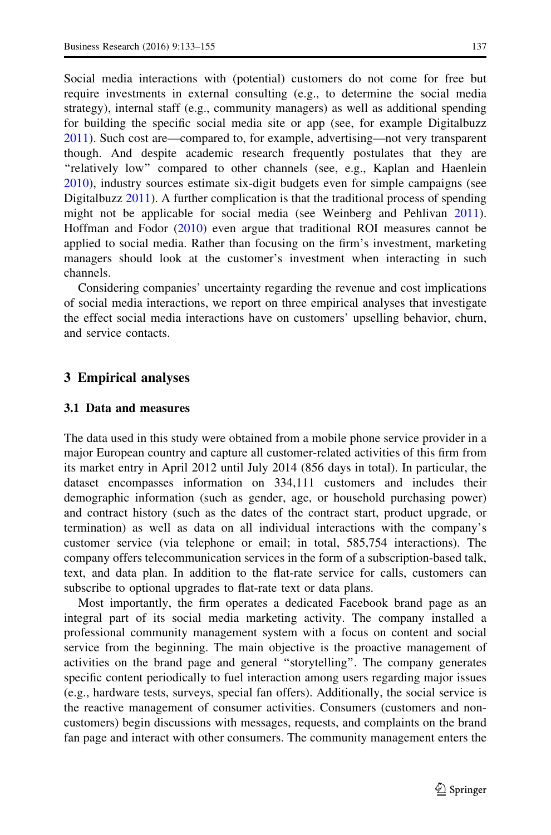Social media interactions with (potential) customers do not come for free but require investments in external consulting (e.g., to determine the social media strategy), internal staff (e.g., community managers) as well as additional spending for building the specific social media site or app (see, for example Digitalbuzz [2011\)](#page-20-0). Such cost are—compared to, for example, advertising—not very transparent though. And despite academic research frequently postulates that they are ''relatively low'' compared to other channels (see, e.g., Kaplan and Haenlein [2010\)](#page-21-0), industry sources estimate six-digit budgets even for simple campaigns (see Digitalbuzz [2011](#page-20-0)). A further complication is that the traditional process of spending might not be applicable for social media (see Weinberg and Pehlivan [2011\)](#page-22-0). Hoffman and Fodor ([2010\)](#page-21-0) even argue that traditional ROI measures cannot be applied to social media. Rather than focusing on the firm's investment, marketing managers should look at the customer's investment when interacting in such channels.

Considering companies' uncertainty regarding the revenue and cost implications of social media interactions, we report on three empirical analyses that investigate the effect social media interactions have on customers' upselling behavior, churn, and service contacts.

## 3 Empirical analyses

### 3.1 Data and measures

The data used in this study were obtained from a mobile phone service provider in a major European country and capture all customer-related activities of this firm from its market entry in April 2012 until July 2014 (856 days in total). In particular, the dataset encompasses information on 334,111 customers and includes their demographic information (such as gender, age, or household purchasing power) and contract history (such as the dates of the contract start, product upgrade, or termination) as well as data on all individual interactions with the company's customer service (via telephone or email; in total, 585,754 interactions). The company offers telecommunication services in the form of a subscription-based talk, text, and data plan. In addition to the flat-rate service for calls, customers can subscribe to optional upgrades to flat-rate text or data plans.

Most importantly, the firm operates a dedicated Facebook brand page as an integral part of its social media marketing activity. The company installed a professional community management system with a focus on content and social service from the beginning. The main objective is the proactive management of activities on the brand page and general ''storytelling''. The company generates specific content periodically to fuel interaction among users regarding major issues (e.g., hardware tests, surveys, special fan offers). Additionally, the social service is the reactive management of consumer activities. Consumers (customers and noncustomers) begin discussions with messages, requests, and complaints on the brand fan page and interact with other consumers. The community management enters the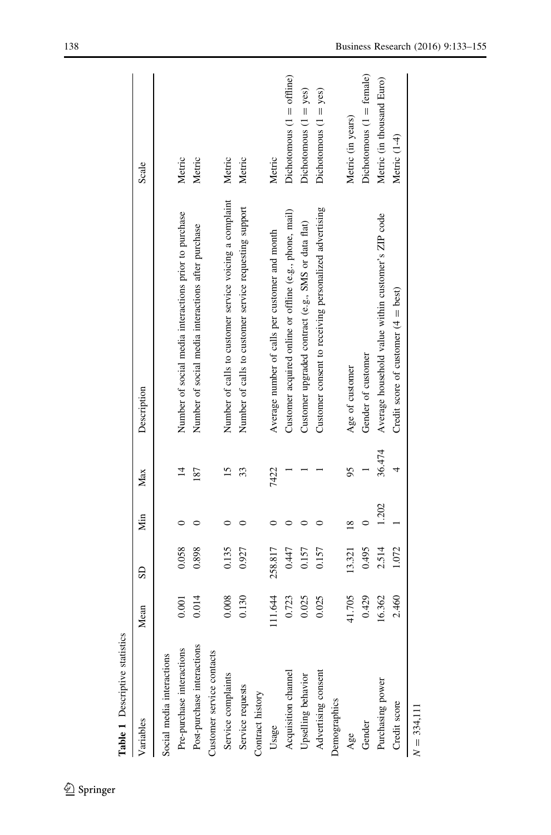<span id="page-5-0"></span>

| <b>Table 1</b> Descriptive statistics |        |         |                |                 |                                                         |                                    |
|---------------------------------------|--------|---------|----------------|-----------------|---------------------------------------------------------|------------------------------------|
| Variables                             | Mean   | SD      | Ńіn            | Max             | Description                                             | Scale                              |
| Social media interactions             |        |         |                |                 |                                                         |                                    |
| Pre-purchase interactions             | 0.001  | 0.058   |                | 4               | Number of social media interactions prior to purchase   | Metric                             |
| Post-purchase interactions            | 0.014  | 0.898   |                | 187             | Number of social media interactions after purchase      | Metric                             |
| Customer service contacts             |        |         |                |                 |                                                         |                                    |
| Service complaints                    | 0.008  | 0.135   |                | $\overline{15}$ | Number of calls to customer service voicing a complaint | Metric                             |
| Service requests                      | 0.130  | 0.927   |                | 33              | Number of calls to customer service requesting support  | Metric                             |
| Contract history                      |        |         |                |                 |                                                         |                                    |
| Usage                                 | 11.644 | 258.817 |                | 7422            | Average number of calls per customer and month          | Metric                             |
| Acquisition channel                   | 0.723  | 0.447   |                |                 | Customer acquired online or offline (e.g., phone, mail) | Dichotomous $(1 = \text{offline})$ |
| Upselling behavior                    | 0.025  | 0.157   |                |                 | Customer upgraded contract (e.g., SMS or data flat)     | Dichotomous $(1 = yes)$            |
| Advertising consent                   | 0.025  | 0.157   |                |                 | Customer consent to receiving personalized advertising  | Dichotomous $(1 = yes)$            |
| Demographics                          |        |         |                |                 |                                                         |                                    |
| Age                                   | 41.705 | 13.321  | $\overline{8}$ | 95              | Age of customer                                         | Metric (in years)                  |
| Gender                                | 0.429  | 0.495   |                |                 | Gender of customer                                      | Dichotomous $(1 = \text{female})$  |
| Purchasing power                      | 16.362 | 2.514   | 1.202          | 36.474          | Average household value within customer's ZIP code      | Metric (in thousand Euro)          |
| Credit score                          | 2.460  | 1.072   |                |                 | Credit score of customer $(4 = best)$                   | Metric (1-4)                       |
| $N = 334,111$                         |        |         |                |                 |                                                         |                                    |

 $\underline{\textcircled{\tiny 2}}$  Springer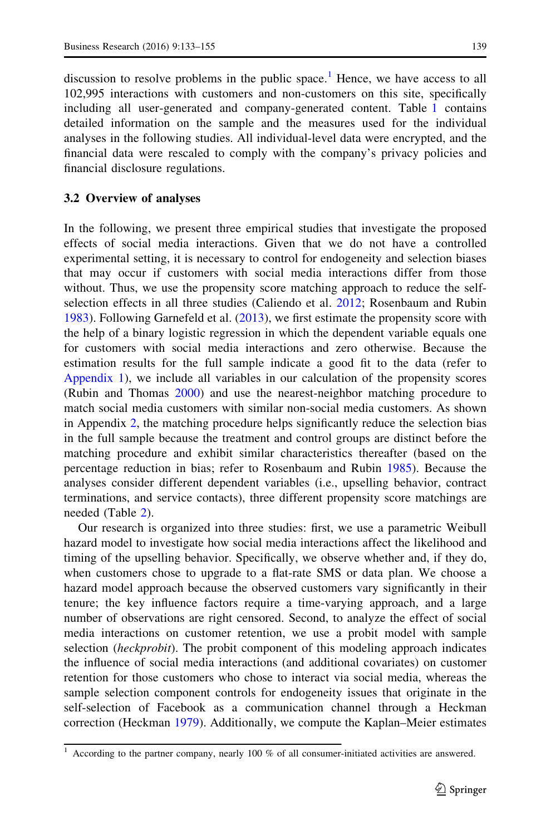discussion to resolve problems in the public space.<sup>1</sup> Hence, we have access to all 102,995 interactions with customers and non-customers on this site, specifically including all user-generated and company-generated content. Table [1](#page-5-0) contains detailed information on the sample and the measures used for the individual analyses in the following studies. All individual-level data were encrypted, and the financial data were rescaled to comply with the company's privacy policies and financial disclosure regulations.

### 3.2 Overview of analyses

In the following, we present three empirical studies that investigate the proposed effects of social media interactions. Given that we do not have a controlled experimental setting, it is necessary to control for endogeneity and selection biases that may occur if customers with social media interactions differ from those without. Thus, we use the propensity score matching approach to reduce the selfselection effects in all three studies (Caliendo et al. [2012;](#page-20-0) Rosenbaum and Rubin [1983\)](#page-22-0). Following Garnefeld et al. ([2013\)](#page-21-0), we first estimate the propensity score with the help of a binary logistic regression in which the dependent variable equals one for customers with social media interactions and zero otherwise. Because the estimation results for the full sample indicate a good fit to the data (refer to [Appendix 1](#page-19-0)), we include all variables in our calculation of the propensity scores (Rubin and Thomas [2000\)](#page-22-0) and use the nearest-neighbor matching procedure to match social media customers with similar non-social media customers. As shown in Appendix [2,](#page-19-0) the matching procedure helps significantly reduce the selection bias in the full sample because the treatment and control groups are distinct before the matching procedure and exhibit similar characteristics thereafter (based on the percentage reduction in bias; refer to Rosenbaum and Rubin [1985\)](#page-22-0). Because the analyses consider different dependent variables (i.e., upselling behavior, contract terminations, and service contacts), three different propensity score matchings are needed (Table [2](#page-7-0)).

Our research is organized into three studies: first, we use a parametric Weibull hazard model to investigate how social media interactions affect the likelihood and timing of the upselling behavior. Specifically, we observe whether and, if they do, when customers chose to upgrade to a flat-rate SMS or data plan. We choose a hazard model approach because the observed customers vary significantly in their tenure; the key influence factors require a time-varying approach, and a large number of observations are right censored. Second, to analyze the effect of social media interactions on customer retention, we use a probit model with sample selection (heckprobit). The probit component of this modeling approach indicates the influence of social media interactions (and additional covariates) on customer retention for those customers who chose to interact via social media, whereas the sample selection component controls for endogeneity issues that originate in the self-selection of Facebook as a communication channel through a Heckman correction (Heckman [1979\)](#page-21-0). Additionally, we compute the Kaplan–Meier estimates

 $1$  According to the partner company, nearly 100 % of all consumer-initiated activities are answered.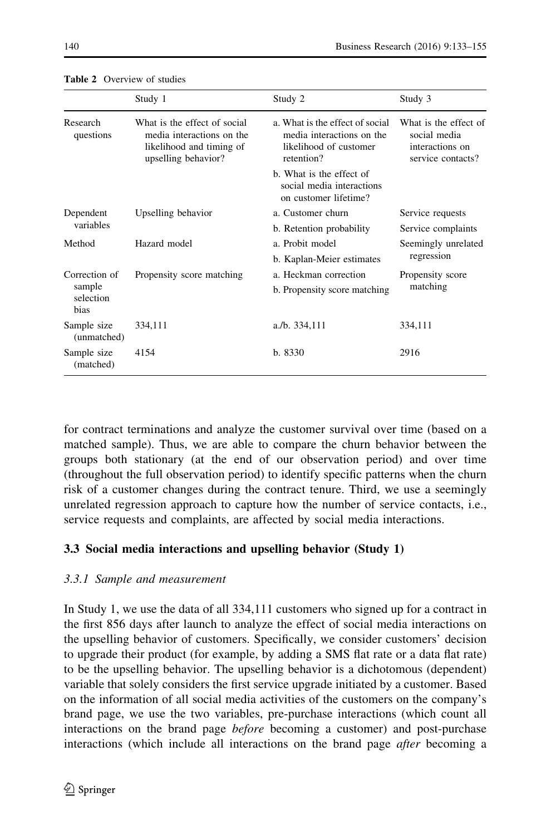|                             | Study 1                                                                                                      | Study 2                                                                                              | Study 3                                                                       |
|-----------------------------|--------------------------------------------------------------------------------------------------------------|------------------------------------------------------------------------------------------------------|-------------------------------------------------------------------------------|
| Research<br>questions       | What is the effect of social<br>media interactions on the<br>likelihood and timing of<br>upselling behavior? | a. What is the effect of social<br>media interactions on the<br>likelihood of customer<br>retention? | What is the effect of<br>social media<br>interactions on<br>service contacts? |
|                             |                                                                                                              | b. What is the effect of<br>social media interactions<br>on customer lifetime?                       |                                                                               |
| Dependent                   | Upselling behavior                                                                                           | a. Customer churn                                                                                    | Service requests                                                              |
| variables                   |                                                                                                              | b. Retention probability                                                                             | Service complaints                                                            |
| Method                      | Hazard model                                                                                                 | a. Probit model                                                                                      | Seemingly unrelated                                                           |
|                             |                                                                                                              | b. Kaplan-Meier estimates                                                                            | regression                                                                    |
| Correction of               | Propensity score matching                                                                                    | a. Heckman correction                                                                                | Propensity score                                                              |
| sample<br>selection<br>bias |                                                                                                              | b. Propensity score matching                                                                         | matching                                                                      |
| Sample size<br>(unmatched)  | 334,111                                                                                                      | a./b. 334,111                                                                                        | 334,111                                                                       |
| Sample size<br>(matched)    | 4154                                                                                                         | b.8330                                                                                               | 2916                                                                          |

<span id="page-7-0"></span>

for contract terminations and analyze the customer survival over time (based on a matched sample). Thus, we are able to compare the churn behavior between the groups both stationary (at the end of our observation period) and over time (throughout the full observation period) to identify specific patterns when the churn risk of a customer changes during the contract tenure. Third, we use a seemingly unrelated regression approach to capture how the number of service contacts, i.e., service requests and complaints, are affected by social media interactions.

### 3.3 Social media interactions and upselling behavior (Study 1)

### 3.3.1 Sample and measurement

In Study 1, we use the data of all 334,111 customers who signed up for a contract in the first 856 days after launch to analyze the effect of social media interactions on the upselling behavior of customers. Specifically, we consider customers' decision to upgrade their product (for example, by adding a SMS flat rate or a data flat rate) to be the upselling behavior. The upselling behavior is a dichotomous (dependent) variable that solely considers the first service upgrade initiated by a customer. Based on the information of all social media activities of the customers on the company's brand page, we use the two variables, pre-purchase interactions (which count all interactions on the brand page before becoming a customer) and post-purchase interactions (which include all interactions on the brand page after becoming a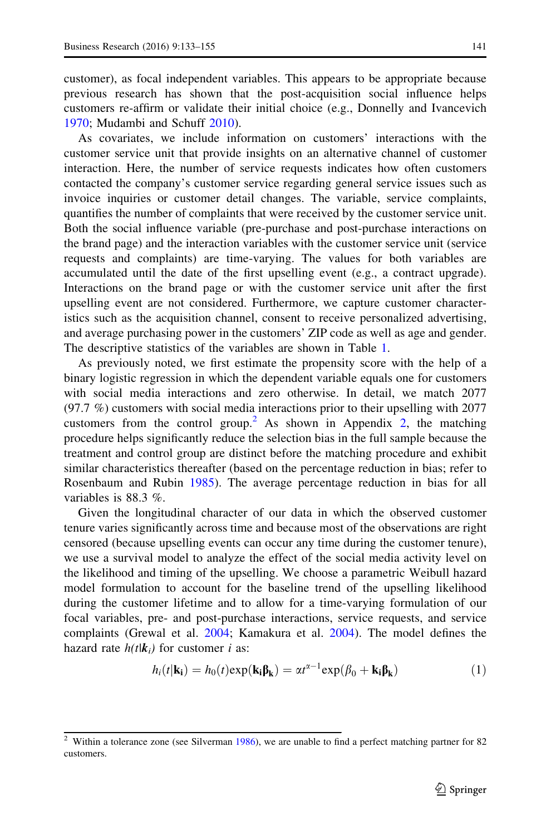customer), as focal independent variables. This appears to be appropriate because previous research has shown that the post-acquisition social influence helps customers re-affirm or validate their initial choice (e.g., Donnelly and Ivancevich [1970;](#page-20-0) Mudambi and Schuff [2010\)](#page-21-0).

As covariates, we include information on customers' interactions with the customer service unit that provide insights on an alternative channel of customer interaction. Here, the number of service requests indicates how often customers contacted the company's customer service regarding general service issues such as invoice inquiries or customer detail changes. The variable, service complaints, quantifies the number of complaints that were received by the customer service unit. Both the social influence variable (pre-purchase and post-purchase interactions on the brand page) and the interaction variables with the customer service unit (service requests and complaints) are time-varying. The values for both variables are accumulated until the date of the first upselling event (e.g., a contract upgrade). Interactions on the brand page or with the customer service unit after the first upselling event are not considered. Furthermore, we capture customer characteristics such as the acquisition channel, consent to receive personalized advertising, and average purchasing power in the customers' ZIP code as well as age and gender. The descriptive statistics of the variables are shown in Table [1.](#page-5-0)

As previously noted, we first estimate the propensity score with the help of a binary logistic regression in which the dependent variable equals one for customers with social media interactions and zero otherwise. In detail, we match 2077 (97.7 %) customers with social media interactions prior to their upselling with 2077 customers from the control group.<sup>[2](#page-19-0)</sup> As shown in Appendix 2, the matching procedure helps significantly reduce the selection bias in the full sample because the treatment and control group are distinct before the matching procedure and exhibit similar characteristics thereafter (based on the percentage reduction in bias; refer to Rosenbaum and Rubin [1985](#page-22-0)). The average percentage reduction in bias for all variables is 88.3 %.

Given the longitudinal character of our data in which the observed customer tenure varies significantly across time and because most of the observations are right censored (because upselling events can occur any time during the customer tenure), we use a survival model to analyze the effect of the social media activity level on the likelihood and timing of the upselling. We choose a parametric Weibull hazard model formulation to account for the baseline trend of the upselling likelihood during the customer lifetime and to allow for a time-varying formulation of our focal variables, pre- and post-purchase interactions, service requests, and service complaints (Grewal et al. [2004](#page-21-0); Kamakura et al. [2004\)](#page-21-0). The model defines the hazard rate  $h(t|\mathbf{k}_i)$  for customer i as:

$$
h_i(t|\mathbf{k_i}) = h_0(t) \exp(\mathbf{k_i}\beta_k) = \alpha t^{\alpha - 1} \exp(\beta_0 + \mathbf{k_i}\beta_k)
$$
 (1)

Within a tolerance zone (see Silverman [1986\)](#page-22-0), we are unable to find a perfect matching partner for 82 customers.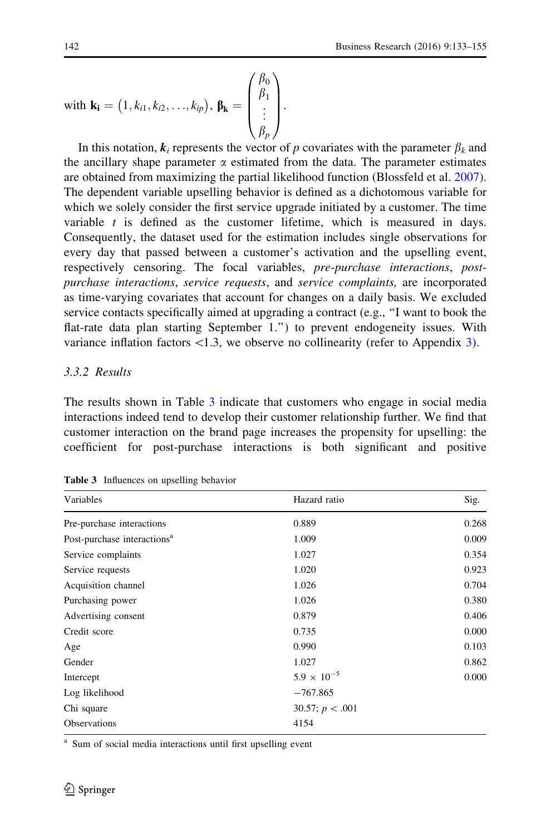with 
$$
\mathbf{k_i} = (1, k_{i1}, k_{i2}, \dots, k_{ip}), \mathbf{\beta_k} = \begin{pmatrix} \beta_0 \\ \beta_1 \\ \vdots \\ \beta_p \end{pmatrix}.
$$

In this notation,  $k_i$  represents the vector of p covariates with the parameter  $\beta_k$  and the ancillary shape parameter  $\alpha$  estimated from the data. The parameter estimates are obtained from maximizing the partial likelihood function (Blossfeld et al. [2007\)](#page-20-0). The dependent variable upselling behavior is defined as a dichotomous variable for which we solely consider the first service upgrade initiated by a customer. The time variable  $t$  is defined as the customer lifetime, which is measured in days. Consequently, the dataset used for the estimation includes single observations for every day that passed between a customer's activation and the upselling event, respectively censoring. The focal variables, pre-purchase interactions, postpurchase interactions, service requests, and service complaints, are incorporated as time-varying covariates that account for changes on a daily basis. We excluded service contacts specifically aimed at upgrading a contract (e.g., ''I want to book the flat-rate data plan starting September 1.'') to prevent endogeneity issues. With variance inflation factors  $\langle 1.3 \rangle$ , we observe no collinearity (refer to Appendix [3\)](#page-20-0).

#### 3.3.2 Results

The results shown in Table 3 indicate that customers who engage in social media interactions indeed tend to develop their customer relationship further. We find that customer interaction on the brand page increases the propensity for upselling: the coefficient for post-purchase interactions is both significant and positive

| Variables                               | Hazard ratio         | Sig.  |
|-----------------------------------------|----------------------|-------|
| Pre-purchase interactions               | 0.889                | 0.268 |
| Post-purchase interactions <sup>a</sup> | 1.009                | 0.009 |
| Service complaints                      | 1.027                | 0.354 |
| Service requests                        | 1.020                | 0.923 |
| Acquisition channel                     | 1.026                | 0.704 |
| Purchasing power                        | 1.026                | 0.380 |
| Advertising consent                     | 0.879                | 0.406 |
| Credit score                            | 0.735                | 0.000 |
| Age                                     | 0.990                | 0.103 |
| Gender                                  | 1.027                | 0.862 |
| Intercept                               | $5.9 \times 10^{-5}$ | 0.000 |
| Log likelihood                          | $-767.865$           |       |
| Chi square                              | 30.57; $p < .001$    |       |
| <b>Observations</b>                     | 4154                 |       |

Table 3 Influences on upselling behavior

<sup>a</sup> Sum of social media interactions until first upselling event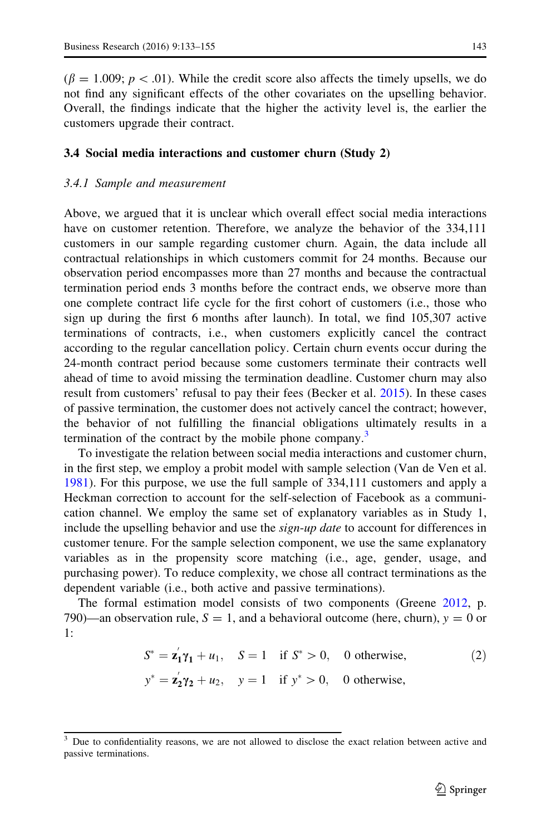$(\beta = 1.009; p < .01)$ . While the credit score also affects the timely upsells, we do not find any significant effects of the other covariates on the upselling behavior. Overall, the findings indicate that the higher the activity level is, the earlier the customers upgrade their contract.

#### 3.4 Social media interactions and customer churn (Study 2)

#### 3.4.1 Sample and measurement

Above, we argued that it is unclear which overall effect social media interactions have on customer retention. Therefore, we analyze the behavior of the 334,111 customers in our sample regarding customer churn. Again, the data include all contractual relationships in which customers commit for 24 months. Because our observation period encompasses more than 27 months and because the contractual termination period ends 3 months before the contract ends, we observe more than one complete contract life cycle for the first cohort of customers (i.e., those who sign up during the first 6 months after launch). In total, we find 105,307 active terminations of contracts, i.e., when customers explicitly cancel the contract according to the regular cancellation policy. Certain churn events occur during the 24-month contract period because some customers terminate their contracts well ahead of time to avoid missing the termination deadline. Customer churn may also result from customers' refusal to pay their fees (Becker et al. [2015](#page-20-0)). In these cases of passive termination, the customer does not actively cancel the contract; however, the behavior of not fulfilling the financial obligations ultimately results in a termination of the contract by the mobile phone company.<sup>3</sup>

To investigate the relation between social media interactions and customer churn, in the first step, we employ a probit model with sample selection (Van de Ven et al. [1981\)](#page-22-0). For this purpose, we use the full sample of 334,111 customers and apply a Heckman correction to account for the self-selection of Facebook as a communication channel. We employ the same set of explanatory variables as in Study 1, include the upselling behavior and use the *sign-up date* to account for differences in customer tenure. For the sample selection component, we use the same explanatory variables as in the propensity score matching (i.e., age, gender, usage, and purchasing power). To reduce complexity, we chose all contract terminations as the dependent variable (i.e., both active and passive terminations).

The formal estimation model consists of two components (Greene [2012](#page-21-0), p. 790)—an observation rule,  $S = 1$ , and a behavioral outcome (here, churn),  $y = 0$  or 1:

$$
S^* = \mathbf{z}_1' \gamma_1 + u_1, \quad S = 1 \quad \text{if } S^* > 0, \quad 0 \text{ otherwise,}
$$
  

$$
y^* = \mathbf{z}_2' \gamma_2 + u_2, \quad y = 1 \quad \text{if } y^* > 0, \quad 0 \text{ otherwise,}
$$
 (2)

<sup>&</sup>lt;sup>3</sup> Due to confidentiality reasons, we are not allowed to disclose the exact relation between active and passive terminations.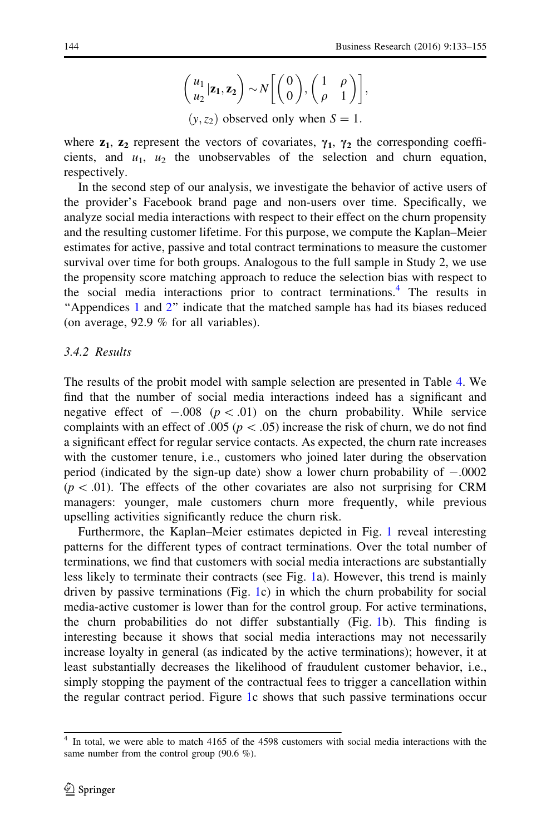$$
\binom{u_1}{u_2} \mid \mathbf{z}_1, \mathbf{z}_2 \longrightarrow N \left[ \binom{0}{0}, \binom{1}{\rho} \cdot \binom{1}{1} \right],
$$
  
(*y*, *z*<sub>2</sub>) observed only when *S* = 1.

where  $z_1$ ,  $z_2$  represent the vectors of covariates,  $\gamma_1$ ,  $\gamma_2$  the corresponding coefficients, and  $u_1$ ,  $u_2$  the unobservables of the selection and churn equation, respectively.

In the second step of our analysis, we investigate the behavior of active users of the provider's Facebook brand page and non-users over time. Specifically, we analyze social media interactions with respect to their effect on the churn propensity and the resulting customer lifetime. For this purpose, we compute the Kaplan–Meier estimates for active, passive and total contract terminations to measure the customer survival over time for both groups. Analogous to the full sample in Study 2, we use the propensity score matching approach to reduce the selection bias with respect to the social media interactions prior to contract terminations.<sup>4</sup> The results in ''Appendices [1](#page-19-0) and [2](#page-19-0)'' indicate that the matched sample has had its biases reduced (on average, 92.9 % for all variables).

#### 3.4.2 Results

The results of the probit model with sample selection are presented in Table [4.](#page-12-0) We find that the number of social media interactions indeed has a significant and negative effect of  $-.008$  ( $p<.01$ ) on the churn probability. While service complaints with an effect of .005 ( $p < .05$ ) increase the risk of churn, we do not find a significant effect for regular service contacts. As expected, the churn rate increases with the customer tenure, i.e., customers who joined later during the observation period (indicated by the sign-up date) show a lower churn probability of  $-.0002$  $(p<.01)$ . The effects of the other covariates are also not surprising for CRM managers: younger, male customers churn more frequently, while previous upselling activities significantly reduce the churn risk.

Furthermore, the Kaplan–Meier estimates depicted in Fig. [1](#page-13-0) reveal interesting patterns for the different types of contract terminations. Over the total number of terminations, we find that customers with social media interactions are substantially less likely to terminate their contracts (see Fig. [1a](#page-13-0)). However, this trend is mainly driven by passive terminations (Fig. [1](#page-13-0)c) in which the churn probability for social media-active customer is lower than for the control group. For active terminations, the churn probabilities do not differ substantially (Fig. [1](#page-13-0)b). This finding is interesting because it shows that social media interactions may not necessarily increase loyalty in general (as indicated by the active terminations); however, it at least substantially decreases the likelihood of fraudulent customer behavior, i.e., simply stopping the payment of the contractual fees to trigger a cancellation within the regular contract period. Figure [1](#page-13-0)c shows that such passive terminations occur

<sup>&</sup>lt;sup>4</sup> In total, we were able to match 4165 of the 4598 customers with social media interactions with the same number from the control group (90.6 %).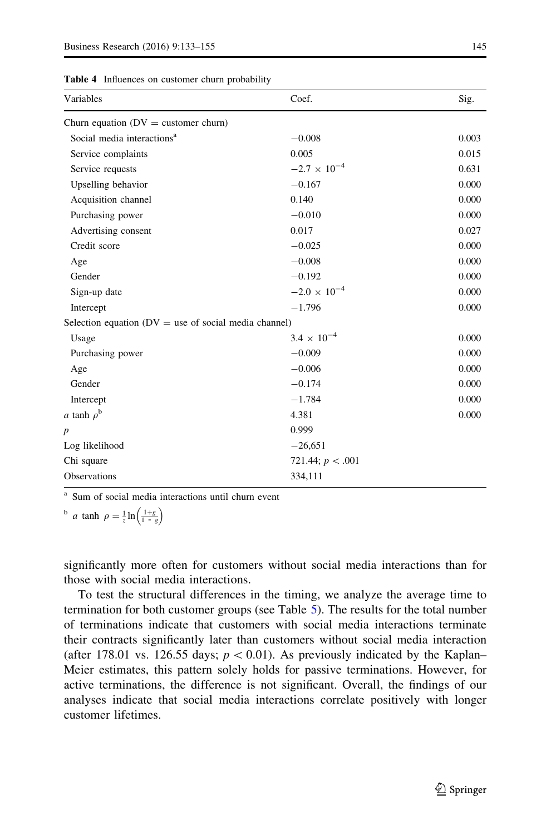| Variables                                                | Coef.                 | Sig.  |
|----------------------------------------------------------|-----------------------|-------|
| Churn equation $(DV =$ customer churn)                   |                       |       |
| Social media interactions <sup>a</sup>                   | $-0.008$              | 0.003 |
| Service complaints                                       | 0.005                 | 0.015 |
| Service requests                                         | $-2.7 \times 10^{-4}$ | 0.631 |
| Upselling behavior                                       | $-0.167$              | 0.000 |
| Acquisition channel                                      | 0.140                 | 0.000 |
| Purchasing power                                         | $-0.010$              | 0.000 |
| Advertising consent                                      | 0.017                 | 0.027 |
| Credit score                                             | $-0.025$              | 0.000 |
| Age                                                      | $-0.008$              | 0.000 |
| Gender                                                   | $-0.192$              | 0.000 |
| Sign-up date                                             | $-2.0 \times 10^{-4}$ | 0.000 |
| Intercept                                                | $-1.796$              | 0.000 |
| Selection equation ( $DV$ = use of social media channel) |                       |       |
| Usage                                                    | $3.4 \times 10^{-4}$  | 0.000 |
| Purchasing power                                         | $-0.009$              | 0.000 |
| Age                                                      | $-0.006$              | 0.000 |
| Gender                                                   | $-0.174$              | 0.000 |
| Intercept                                                | $-1.784$              | 0.000 |
| a tanh $\rho^b$                                          | 4.381                 | 0.000 |
| $\boldsymbol{p}$                                         | 0.999                 |       |
| Log likelihood                                           | $-26,651$             |       |
| Chi square                                               | 721.44; $p < .001$    |       |
| Observations                                             | 334,111               |       |

<span id="page-12-0"></span>Table 4 Influences on customer churn probability

<sup>a</sup> Sum of social media interactions until churn event

 $\mu$  a tanh  $\rho = \frac{1}{z} \ln \left( \frac{1+g}{1-g} \right)$  $(1+\epsilon)$ 

significantly more often for customers without social media interactions than for those with social media interactions.

To test the structural differences in the timing, we analyze the average time to termination for both customer groups (see Table [5](#page-13-0)). The results for the total number of terminations indicate that customers with social media interactions terminate their contracts significantly later than customers without social media interaction (after 178.01 vs. 126.55 days;  $p < 0.01$ ). As previously indicated by the Kaplan– Meier estimates, this pattern solely holds for passive terminations. However, for active terminations, the difference is not significant. Overall, the findings of our analyses indicate that social media interactions correlate positively with longer customer lifetimes.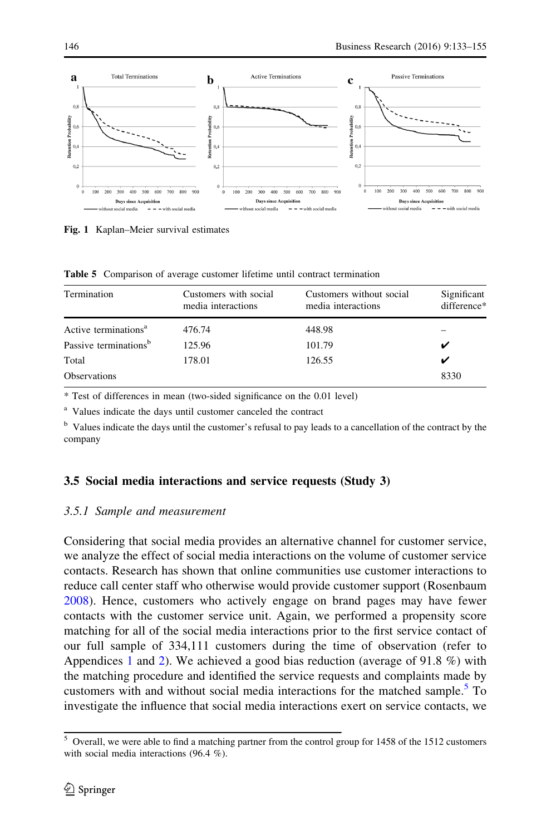<span id="page-13-0"></span>

Fig. 1 Kaplan–Meier survival estimates

| Termination                       | Customers with social<br>media interactions | Customers without social<br>media interactions | Significant<br>difference* |
|-----------------------------------|---------------------------------------------|------------------------------------------------|----------------------------|
| Active terminations <sup>a</sup>  | 476.74                                      | 448.98                                         |                            |
| Passive terminations <sup>b</sup> | 125.96                                      | 101.79                                         |                            |
| Total                             | 178.01                                      | 126.55                                         |                            |
| <b>Observations</b>               |                                             |                                                | 8330                       |

Table 5 Comparison of average customer lifetime until contract termination

\* Test of differences in mean (two-sided significance on the 0.01 level)

<sup>a</sup> Values indicate the days until customer canceled the contract

<sup>b</sup> Values indicate the days until the customer's refusal to pay leads to a cancellation of the contract by the company

### 3.5 Social media interactions and service requests (Study 3)

#### 3.5.1 Sample and measurement

Considering that social media provides an alternative channel for customer service, we analyze the effect of social media interactions on the volume of customer service contacts. Research has shown that online communities use customer interactions to reduce call center staff who otherwise would provide customer support (Rosenbaum [2008\)](#page-22-0). Hence, customers who actively engage on brand pages may have fewer contacts with the customer service unit. Again, we performed a propensity score matching for all of the social media interactions prior to the first service contact of our full sample of 334,111 customers during the time of observation (refer to Appendices [1](#page-19-0) and [2\)](#page-19-0). We achieved a good bias reduction (average of 91.8 %) with the matching procedure and identified the service requests and complaints made by customers with and without social media interactions for the matched sample.<sup>5</sup> To investigate the influence that social media interactions exert on service contacts, we

<sup>5</sup> Overall, we were able to find a matching partner from the control group for 1458 of the 1512 customers with social media interactions (96.4 %).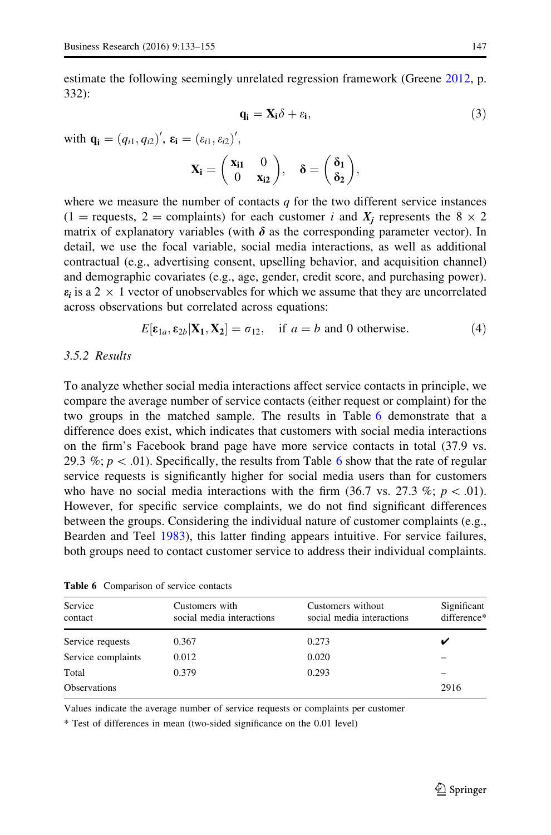estimate the following seemingly unrelated regression framework (Greene [2012](#page-21-0), p. 332):

$$
\mathbf{q_i} = \mathbf{X_i} \delta + \varepsilon_i,\tag{3}
$$

with  ${\bf q_i} = (q_{i1}, q_{i2})'$ ,  ${\bf \varepsilon_i} = (\varepsilon_{i1}, \varepsilon_{i2})'$ ,

$$
X_i=\left(\begin{array}{cc}x_{i1}&0\\0&x_{i2}\end{array}\right),\quad \delta=\left(\begin{array}{c}\delta_1\\\delta_2\end{array}\right),
$$

where we measure the number of contacts  $q$  for the two different service instances  $(1 = \text{requests}, 2 = \text{complaints})$  for each customer i and  $X_i$  represents the  $8 \times 2$ matrix of explanatory variables (with  $\delta$  as the corresponding parameter vector). In detail, we use the focal variable, social media interactions, as well as additional contractual (e.g., advertising consent, upselling behavior, and acquisition channel) and demographic covariates (e.g., age, gender, credit score, and purchasing power).  $\varepsilon_i$  is a 2  $\times$  1 vector of unobservables for which we assume that they are uncorrelated across observations but correlated across equations:

$$
E[\varepsilon_{1a}, \varepsilon_{2b} | \mathbf{X}_1, \mathbf{X}_2] = \sigma_{12}, \quad \text{if } a = b \text{ and } 0 \text{ otherwise.}
$$
 (4)

#### 3.5.2 Results

To analyze whether social media interactions affect service contacts in principle, we compare the average number of service contacts (either request or complaint) for the two groups in the matched sample. The results in Table 6 demonstrate that a difference does exist, which indicates that customers with social media interactions on the firm's Facebook brand page have more service contacts in total (37.9 vs. 29.3 %;  $p < .01$ ). Specifically, the results from Table 6 show that the rate of regular service requests is significantly higher for social media users than for customers who have no social media interactions with the firm (36.7 vs. 27.3 %;  $p\lt 0.01$ ). However, for specific service complaints, we do not find significant differences between the groups. Considering the individual nature of customer complaints (e.g., Bearden and Teel [1983\)](#page-20-0), this latter finding appears intuitive. For service failures, both groups need to contact customer service to address their individual complaints.

| Service<br>contact  | Customers with<br>social media interactions | Customers without<br>social media interactions | Significant<br>difference* |
|---------------------|---------------------------------------------|------------------------------------------------|----------------------------|
| Service requests    | 0.367                                       | 0.273                                          | V                          |
| Service complaints  | 0.012                                       | 0.020                                          |                            |
| Total               | 0.379                                       | 0.293                                          |                            |
| <b>Observations</b> |                                             |                                                | 2916                       |

Table 6 Comparison of service contacts

Values indicate the average number of service requests or complaints per customer

\* Test of differences in mean (two-sided significance on the 0.01 level)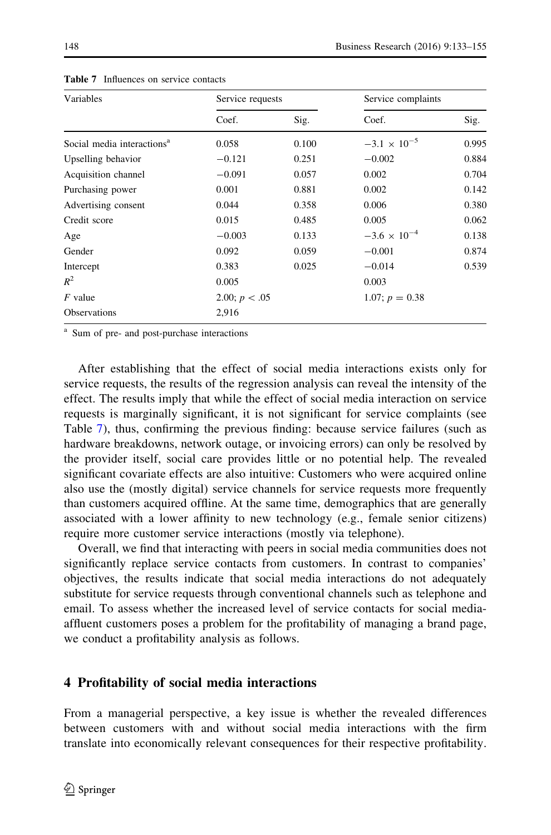| 48 |  |  |
|----|--|--|
|    |  |  |

| Variables                              | Service requests |       | Service complaints    |       |  |
|----------------------------------------|------------------|-------|-----------------------|-------|--|
|                                        | Coef.            | Sig.  | Coef.                 | Sig.  |  |
| Social media interactions <sup>a</sup> | 0.058            | 0.100 | $-3.1 \times 10^{-5}$ | 0.995 |  |
| Upselling behavior                     | $-0.121$         | 0.251 | $-0.002$              | 0.884 |  |
| Acquisition channel                    | $-0.091$         | 0.057 | 0.002                 | 0.704 |  |
| Purchasing power                       | 0.001            | 0.881 | 0.002                 | 0.142 |  |
| Advertising consent                    | 0.044            | 0.358 | 0.006                 | 0.380 |  |
| Credit score                           | 0.015            | 0.485 | 0.005                 | 0.062 |  |
| Age                                    | $-0.003$         | 0.133 | $-3.6 \times 10^{-4}$ | 0.138 |  |
| Gender                                 | 0.092            | 0.059 | $-0.001$              | 0.874 |  |
| Intercept                              | 0.383            | 0.025 | $-0.014$              | 0.539 |  |
| $R^2$                                  | 0.005            |       | 0.003                 |       |  |
| $F$ value                              | 2.00; $p < .05$  |       | 1.07; $p = 0.38$      |       |  |
| <b>Observations</b>                    | 2,916            |       |                       |       |  |

Table 7 Influences on service contacts

<sup>a</sup> Sum of pre- and post-purchase interactions

After establishing that the effect of social media interactions exists only for service requests, the results of the regression analysis can reveal the intensity of the effect. The results imply that while the effect of social media interaction on service requests is marginally significant, it is not significant for service complaints (see Table 7), thus, confirming the previous finding: because service failures (such as hardware breakdowns, network outage, or invoicing errors) can only be resolved by the provider itself, social care provides little or no potential help. The revealed significant covariate effects are also intuitive: Customers who were acquired online also use the (mostly digital) service channels for service requests more frequently than customers acquired offline. At the same time, demographics that are generally associated with a lower affinity to new technology (e.g., female senior citizens) require more customer service interactions (mostly via telephone).

Overall, we find that interacting with peers in social media communities does not significantly replace service contacts from customers. In contrast to companies' objectives, the results indicate that social media interactions do not adequately substitute for service requests through conventional channels such as telephone and email. To assess whether the increased level of service contacts for social mediaaffluent customers poses a problem for the profitability of managing a brand page, we conduct a profitability analysis as follows.

# 4 Profitability of social media interactions

From a managerial perspective, a key issue is whether the revealed differences between customers with and without social media interactions with the firm translate into economically relevant consequences for their respective profitability.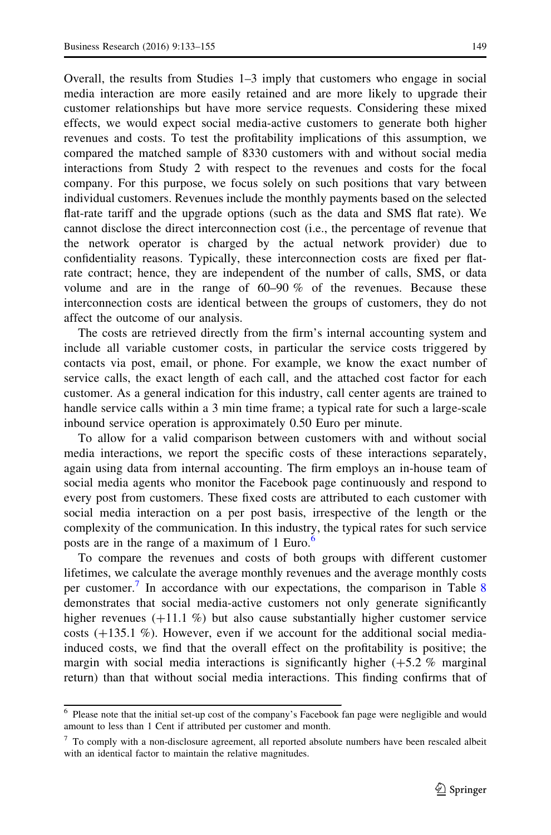Overall, the results from Studies 1–3 imply that customers who engage in social media interaction are more easily retained and are more likely to upgrade their customer relationships but have more service requests. Considering these mixed effects, we would expect social media-active customers to generate both higher revenues and costs. To test the profitability implications of this assumption, we compared the matched sample of 8330 customers with and without social media interactions from Study 2 with respect to the revenues and costs for the focal company. For this purpose, we focus solely on such positions that vary between individual customers. Revenues include the monthly payments based on the selected flat-rate tariff and the upgrade options (such as the data and SMS flat rate). We cannot disclose the direct interconnection cost (i.e., the percentage of revenue that the network operator is charged by the actual network provider) due to confidentiality reasons. Typically, these interconnection costs are fixed per flatrate contract; hence, they are independent of the number of calls, SMS, or data volume and are in the range of  $60-90\%$  of the revenues. Because these interconnection costs are identical between the groups of customers, they do not affect the outcome of our analysis.

The costs are retrieved directly from the firm's internal accounting system and include all variable customer costs, in particular the service costs triggered by contacts via post, email, or phone. For example, we know the exact number of service calls, the exact length of each call, and the attached cost factor for each customer. As a general indication for this industry, call center agents are trained to handle service calls within a 3 min time frame; a typical rate for such a large-scale inbound service operation is approximately 0.50 Euro per minute.

To allow for a valid comparison between customers with and without social media interactions, we report the specific costs of these interactions separately, again using data from internal accounting. The firm employs an in-house team of social media agents who monitor the Facebook page continuously and respond to every post from customers. These fixed costs are attributed to each customer with social media interaction on a per post basis, irrespective of the length or the complexity of the communication. In this industry, the typical rates for such service posts are in the range of a maximum of 1 Euro.<sup>6</sup>

To compare the revenues and costs of both groups with different customer lifetimes, we calculate the average monthly revenues and the average monthly costs per customer.<sup>7</sup> In accordance with our expectations, the comparison in Table [8](#page-17-0) demonstrates that social media-active customers not only generate significantly higher revenues  $(+11.1 \%)$  but also cause substantially higher customer service costs  $(+135.1 \%)$ . However, even if we account for the additional social mediainduced costs, we find that the overall effect on the profitability is positive; the margin with social media interactions is significantly higher  $(+5.2\%$  marginal return) than that without social media interactions. This finding confirms that of

<sup>6</sup> Please note that the initial set-up cost of the company's Facebook fan page were negligible and would amount to less than 1 Cent if attributed per customer and month.

 $7$  To comply with a non-disclosure agreement, all reported absolute numbers have been rescaled albeit with an identical factor to maintain the relative magnitudes.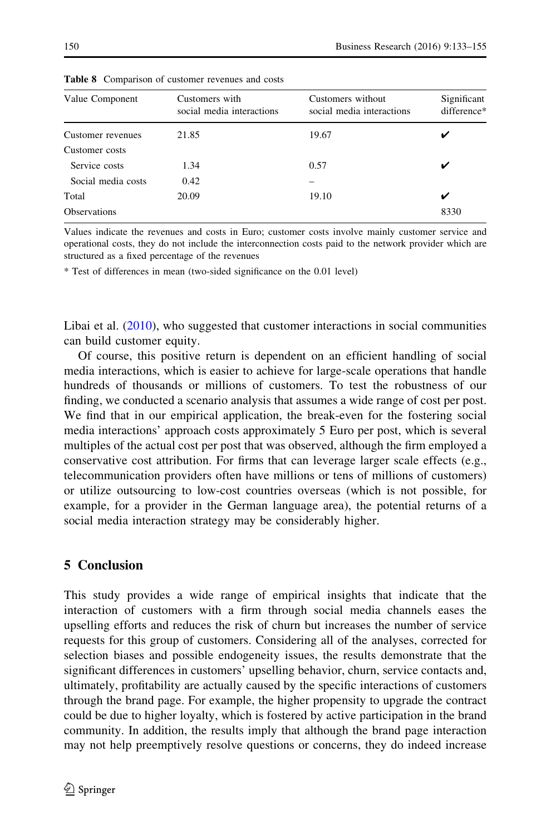<span id="page-17-0"></span>

| Value Component     | Customers with<br>social media interactions | Customers without<br>social media interactions | Significant<br>difference* |
|---------------------|---------------------------------------------|------------------------------------------------|----------------------------|
| Customer revenues   | 21.85                                       | 19.67                                          | v                          |
| Customer costs      |                                             |                                                |                            |
| Service costs       | 1.34                                        | 0.57                                           | v                          |
| Social media costs  | 0.42                                        |                                                |                            |
| Total               | 20.09                                       | 19.10                                          | V                          |
| <b>Observations</b> |                                             |                                                | 8330                       |

Table 8 Comparison of customer revenues and costs

Values indicate the revenues and costs in Euro; customer costs involve mainly customer service and operational costs, they do not include the interconnection costs paid to the network provider which are structured as a fixed percentage of the revenues

\* Test of differences in mean (two-sided significance on the 0.01 level)

Libai et al. [\(2010](#page-21-0)), who suggested that customer interactions in social communities can build customer equity.

Of course, this positive return is dependent on an efficient handling of social media interactions, which is easier to achieve for large-scale operations that handle hundreds of thousands or millions of customers. To test the robustness of our finding, we conducted a scenario analysis that assumes a wide range of cost per post. We find that in our empirical application, the break-even for the fostering social media interactions' approach costs approximately 5 Euro per post, which is several multiples of the actual cost per post that was observed, although the firm employed a conservative cost attribution. For firms that can leverage larger scale effects (e.g., telecommunication providers often have millions or tens of millions of customers) or utilize outsourcing to low-cost countries overseas (which is not possible, for example, for a provider in the German language area), the potential returns of a social media interaction strategy may be considerably higher.

### 5 Conclusion

This study provides a wide range of empirical insights that indicate that the interaction of customers with a firm through social media channels eases the upselling efforts and reduces the risk of churn but increases the number of service requests for this group of customers. Considering all of the analyses, corrected for selection biases and possible endogeneity issues, the results demonstrate that the significant differences in customers' upselling behavior, churn, service contacts and, ultimately, profitability are actually caused by the specific interactions of customers through the brand page. For example, the higher propensity to upgrade the contract could be due to higher loyalty, which is fostered by active participation in the brand community. In addition, the results imply that although the brand page interaction may not help preemptively resolve questions or concerns, they do indeed increase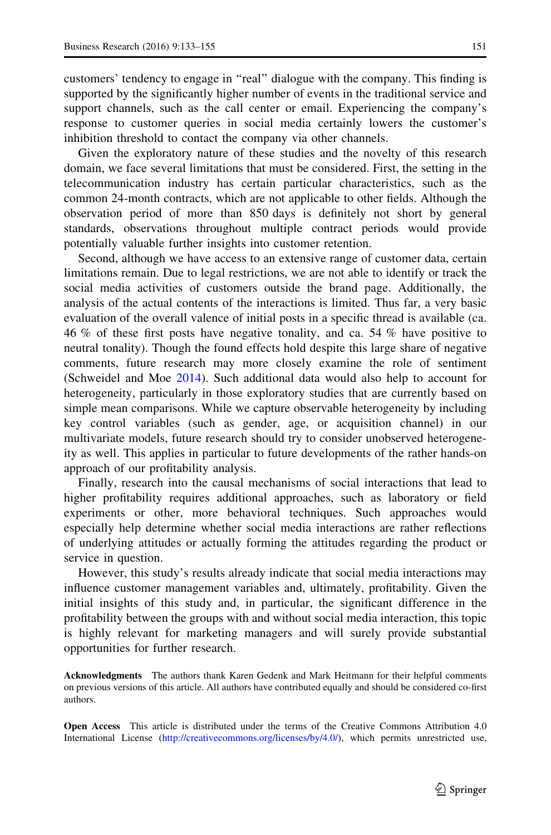customers' tendency to engage in ''real'' dialogue with the company. This finding is supported by the significantly higher number of events in the traditional service and support channels, such as the call center or email. Experiencing the company's response to customer queries in social media certainly lowers the customer's inhibition threshold to contact the company via other channels.

Given the exploratory nature of these studies and the novelty of this research domain, we face several limitations that must be considered. First, the setting in the telecommunication industry has certain particular characteristics, such as the common 24-month contracts, which are not applicable to other fields. Although the observation period of more than 850 days is definitely not short by general standards, observations throughout multiple contract periods would provide potentially valuable further insights into customer retention.

Second, although we have access to an extensive range of customer data, certain limitations remain. Due to legal restrictions, we are not able to identify or track the social media activities of customers outside the brand page. Additionally, the analysis of the actual contents of the interactions is limited. Thus far, a very basic evaluation of the overall valence of initial posts in a specific thread is available (ca. 46 % of these first posts have negative tonality, and ca. 54 % have positive to neutral tonality). Though the found effects hold despite this large share of negative comments, future research may more closely examine the role of sentiment (Schweidel and Moe [2014\)](#page-22-0). Such additional data would also help to account for heterogeneity, particularly in those exploratory studies that are currently based on simple mean comparisons. While we capture observable heterogeneity by including key control variables (such as gender, age, or acquisition channel) in our multivariate models, future research should try to consider unobserved heterogeneity as well. This applies in particular to future developments of the rather hands-on approach of our profitability analysis.

Finally, research into the causal mechanisms of social interactions that lead to higher profitability requires additional approaches, such as laboratory or field experiments or other, more behavioral techniques. Such approaches would especially help determine whether social media interactions are rather reflections of underlying attitudes or actually forming the attitudes regarding the product or service in question.

However, this study's results already indicate that social media interactions may influence customer management variables and, ultimately, profitability. Given the initial insights of this study and, in particular, the significant difference in the profitability between the groups with and without social media interaction, this topic is highly relevant for marketing managers and will surely provide substantial opportunities for further research.

Open Access This article is distributed under the terms of the Creative Commons Attribution 4.0 International License ([http://creativecommons.org/licenses/by/4.0/\)](http://creativecommons.org/licenses/by/4.0/), which permits unrestricted use,

Acknowledgments The authors thank Karen Gedenk and Mark Heitmann for their helpful comments on previous versions of this article. All authors have contributed equally and should be considered co-first authors.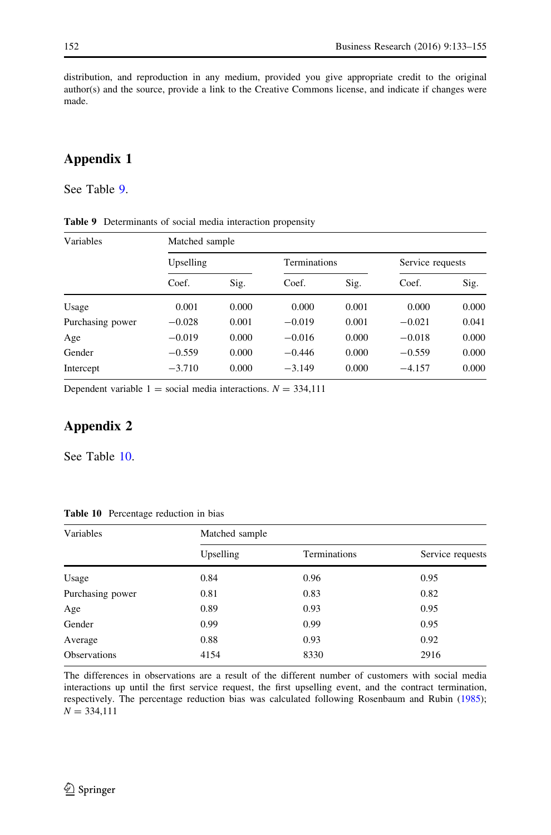<span id="page-19-0"></span>distribution, and reproduction in any medium, provided you give appropriate credit to the original author(s) and the source, provide a link to the Creative Commons license, and indicate if changes were made.

# Appendix 1

See Table 9.

| Variables        | Matched sample |       |          |              |          |                  |  |  |
|------------------|----------------|-------|----------|--------------|----------|------------------|--|--|
|                  | Upselling      |       |          | Terminations |          | Service requests |  |  |
|                  | Coef.          | Sig.  | Coef.    | Sig.         | Coef.    | Sig.             |  |  |
| Usage            | 0.001          | 0.000 | 0.000    | 0.001        | 0.000    | 0.000            |  |  |
| Purchasing power | $-0.028$       | 0.001 | $-0.019$ | 0.001        | $-0.021$ | 0.041            |  |  |
| Age              | $-0.019$       | 0.000 | $-0.016$ | 0.000        | $-0.018$ | 0.000            |  |  |
| Gender           | $-0.559$       | 0.000 | $-0.446$ | 0.000        | $-0.559$ | 0.000            |  |  |
| Intercept        | $-3.710$       | 0.000 | $-3.149$ | 0.000        | $-4.157$ | 0.000            |  |  |

Table 9 Determinants of social media interaction propensity

Dependent variable  $1 = \text{social media interactions.} N = 334,111$ 

# Appendix 2

See Table 10.

| Variables           | Matched sample |              |                  |  |  |  |  |
|---------------------|----------------|--------------|------------------|--|--|--|--|
|                     | Upselling      | Terminations | Service requests |  |  |  |  |
| Usage               | 0.84           | 0.96         | 0.95             |  |  |  |  |
| Purchasing power    | 0.81           | 0.83         | 0.82             |  |  |  |  |
| Age                 | 0.89           | 0.93         | 0.95             |  |  |  |  |
| Gender              | 0.99           | 0.99         | 0.95             |  |  |  |  |
| Average             | 0.88           | 0.93         | 0.92             |  |  |  |  |
| <b>Observations</b> | 4154           | 8330         | 2916             |  |  |  |  |
|                     |                |              |                  |  |  |  |  |

Table 10 Percentage reduction in bias

The differences in observations are a result of the different number of customers with social media interactions up until the first service request, the first upselling event, and the contract termination, respectively. The percentage reduction bias was calculated following Rosenbaum and Rubin ([1985](#page-22-0));  $N = 334,111$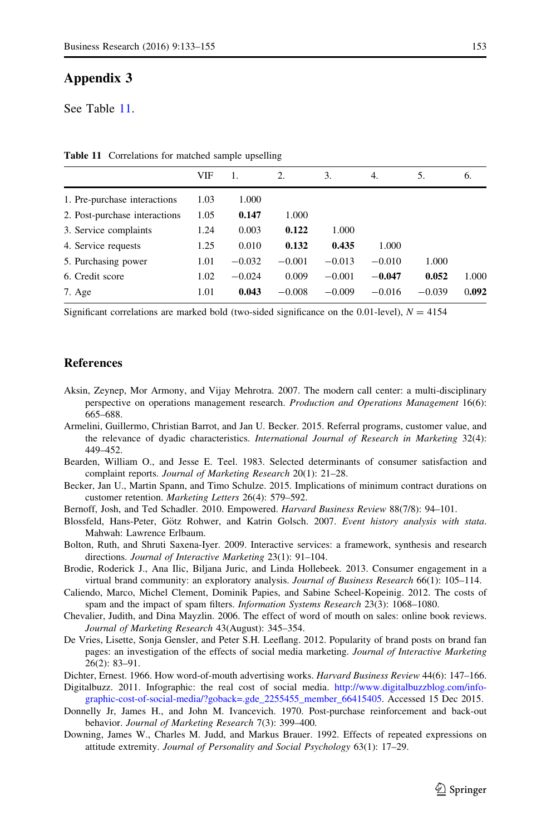### <span id="page-20-0"></span>Appendix 3

See Table 11.

|                               | <b>VIF</b> | 1.       | $\overline{2}$ . | 3.       | 4.       | 5.       | 6.    |
|-------------------------------|------------|----------|------------------|----------|----------|----------|-------|
| 1. Pre-purchase interactions  | 1.03       | 1.000    |                  |          |          |          |       |
| 2. Post-purchase interactions | 1.05       | 0.147    | 1.000            |          |          |          |       |
| 3. Service complaints         | 1.24       | 0.003    | 0.122            | 1.000    |          |          |       |
| 4. Service requests           | 1.25       | 0.010    | 0.132            | 0.435    | 1.000    |          |       |
| 5. Purchasing power           | 1.01       | $-0.032$ | $-0.001$         | $-0.013$ | $-0.010$ | 1.000    |       |
| 6. Credit score               | 1.02       | $-0.024$ | 0.009            | $-0.001$ | $-0.047$ | 0.052    | 1.000 |
| 7. Age                        | 1.01       | 0.043    | $-0.008$         | $-0.009$ | $-0.016$ | $-0.039$ | 0.092 |

Table 11 Correlations for matched sample upselling

Significant correlations are marked bold (two-sided significance on the 0.01-level),  $N = 4154$ 

#### References

- Aksin, Zeynep, Mor Armony, and Vijay Mehrotra. 2007. The modern call center: a multi-disciplinary perspective on operations management research. Production and Operations Management 16(6): 665–688.
- Armelini, Guillermo, Christian Barrot, and Jan U. Becker. 2015. Referral programs, customer value, and the relevance of dyadic characteristics. International Journal of Research in Marketing 32(4): 449–452.
- Bearden, William O., and Jesse E. Teel. 1983. Selected determinants of consumer satisfaction and complaint reports. Journal of Marketing Research 20(1): 21–28.
- Becker, Jan U., Martin Spann, and Timo Schulze. 2015. Implications of minimum contract durations on customer retention. Marketing Letters 26(4): 579–592.
- Bernoff, Josh, and Ted Schadler. 2010. Empowered. Harvard Business Review 88(7/8): 94–101.
- Blossfeld, Hans-Peter, Götz Rohwer, and Katrin Golsch. 2007. Event history analysis with stata. Mahwah: Lawrence Erlbaum.
- Bolton, Ruth, and Shruti Saxena-Iyer. 2009. Interactive services: a framework, synthesis and research directions. Journal of Interactive Marketing 23(1): 91–104.
- Brodie, Roderick J., Ana Ilic, Biljana Juric, and Linda Hollebeek. 2013. Consumer engagement in a virtual brand community: an exploratory analysis. Journal of Business Research 66(1): 105–114.
- Caliendo, Marco, Michel Clement, Dominik Papies, and Sabine Scheel-Kopeinig. 2012. The costs of spam and the impact of spam filters. Information Systems Research 23(3): 1068–1080.
- Chevalier, Judith, and Dina Mayzlin. 2006. The effect of word of mouth on sales: online book reviews. Journal of Marketing Research 43(August): 345–354.
- De Vries, Lisette, Sonja Gensler, and Peter S.H. Leeflang. 2012. Popularity of brand posts on brand fan pages: an investigation of the effects of social media marketing. Journal of Interactive Marketing 26(2): 83–91.
- Dichter, Ernest. 1966. How word-of-mouth advertising works. Harvard Business Review 44(6): 147–166.
- Digitalbuzz. 2011. Infographic: the real cost of social media. [http://www.digitalbuzzblog.com/info](http://www.digitalbuzzblog.com/info-graphic-cost-of-social-media/%3fgoback%3d.gde_2255455_member_66415405)[graphic-cost-of-social-media/?goback=.gde\\_2255455\\_member\\_66415405.](http://www.digitalbuzzblog.com/info-graphic-cost-of-social-media/%3fgoback%3d.gde_2255455_member_66415405) Accessed 15 Dec 2015.
- Donnelly Jr, James H., and John M. Ivancevich. 1970. Post-purchase reinforcement and back-out behavior. Journal of Marketing Research 7(3): 399–400.
- Downing, James W., Charles M. Judd, and Markus Brauer. 1992. Effects of repeated expressions on attitude extremity. Journal of Personality and Social Psychology 63(1): 17–29.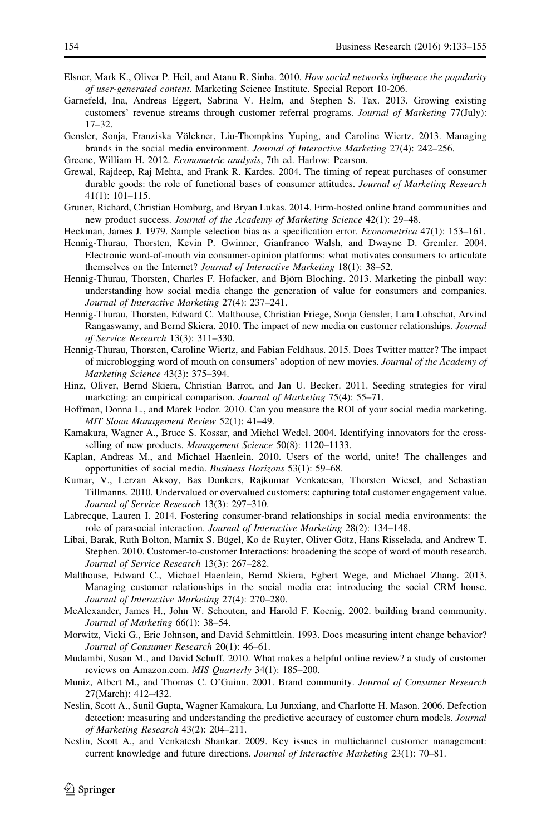- <span id="page-21-0"></span>Elsner, Mark K., Oliver P. Heil, and Atanu R. Sinha. 2010. How social networks influence the popularity of user-generated content. Marketing Science Institute. Special Report 10-206.
- Garnefeld, Ina, Andreas Eggert, Sabrina V. Helm, and Stephen S. Tax. 2013. Growing existing customers' revenue streams through customer referral programs. Journal of Marketing 77(July): 17–32.
- Gensler, Sonja, Franziska Völckner, Liu-Thompkins Yuping, and Caroline Wiertz. 2013. Managing brands in the social media environment. Journal of Interactive Marketing 27(4): 242–256.
- Greene, William H. 2012. Econometric analysis, 7th ed. Harlow: Pearson.
- Grewal, Rajdeep, Raj Mehta, and Frank R. Kardes. 2004. The timing of repeat purchases of consumer durable goods: the role of functional bases of consumer attitudes. Journal of Marketing Research 41(1): 101–115.
- Gruner, Richard, Christian Homburg, and Bryan Lukas. 2014. Firm-hosted online brand communities and new product success. Journal of the Academy of Marketing Science 42(1): 29–48.
- Heckman, James J. 1979. Sample selection bias as a specification error. Econometrica 47(1): 153–161.
- Hennig-Thurau, Thorsten, Kevin P. Gwinner, Gianfranco Walsh, and Dwayne D. Gremler. 2004. Electronic word-of-mouth via consumer-opinion platforms: what motivates consumers to articulate themselves on the Internet? Journal of Interactive Marketing 18(1): 38–52.
- Hennig-Thurau, Thorsten, Charles F. Hofacker, and Björn Bloching. 2013. Marketing the pinball way: understanding how social media change the generation of value for consumers and companies. Journal of Interactive Marketing 27(4): 237–241.
- Hennig-Thurau, Thorsten, Edward C. Malthouse, Christian Friege, Sonja Gensler, Lara Lobschat, Arvind Rangaswamy, and Bernd Skiera. 2010. The impact of new media on customer relationships. Journal of Service Research 13(3): 311–330.
- Hennig-Thurau, Thorsten, Caroline Wiertz, and Fabian Feldhaus. 2015. Does Twitter matter? The impact of microblogging word of mouth on consumers' adoption of new movies. Journal of the Academy of Marketing Science 43(3): 375–394.
- Hinz, Oliver, Bernd Skiera, Christian Barrot, and Jan U. Becker. 2011. Seeding strategies for viral marketing: an empirical comparison. Journal of Marketing 75(4): 55–71.
- Hoffman, Donna L., and Marek Fodor. 2010. Can you measure the ROI of your social media marketing. MIT Sloan Management Review 52(1): 41–49.
- Kamakura, Wagner A., Bruce S. Kossar, and Michel Wedel. 2004. Identifying innovators for the crossselling of new products. Management Science 50(8): 1120-1133.
- Kaplan, Andreas M., and Michael Haenlein. 2010. Users of the world, unite! The challenges and opportunities of social media. Business Horizons 53(1): 59–68.
- Kumar, V., Lerzan Aksoy, Bas Donkers, Rajkumar Venkatesan, Thorsten Wiesel, and Sebastian Tillmanns. 2010. Undervalued or overvalued customers: capturing total customer engagement value. Journal of Service Research 13(3): 297–310.
- Labrecque, Lauren I. 2014. Fostering consumer-brand relationships in social media environments: the role of parasocial interaction. Journal of Interactive Marketing 28(2): 134–148.
- Libai, Barak, Ruth Bolton, Marnix S. Bügel, Ko de Ruyter, Oliver Götz, Hans Risselada, and Andrew T. Stephen. 2010. Customer-to-customer Interactions: broadening the scope of word of mouth research. Journal of Service Research 13(3): 267–282.
- Malthouse, Edward C., Michael Haenlein, Bernd Skiera, Egbert Wege, and Michael Zhang. 2013. Managing customer relationships in the social media era: introducing the social CRM house. Journal of Interactive Marketing 27(4): 270–280.
- McAlexander, James H., John W. Schouten, and Harold F. Koenig. 2002. building brand community. Journal of Marketing 66(1): 38–54.
- Morwitz, Vicki G., Eric Johnson, and David Schmittlein. 1993. Does measuring intent change behavior? Journal of Consumer Research 20(1): 46–61.
- Mudambi, Susan M., and David Schuff. 2010. What makes a helpful online review? a study of customer reviews on Amazon.com. MIS Quarterly 34(1): 185–200.
- Muniz, Albert M., and Thomas C. O'Guinn. 2001. Brand community. Journal of Consumer Research 27(March): 412–432.
- Neslin, Scott A., Sunil Gupta, Wagner Kamakura, Lu Junxiang, and Charlotte H. Mason. 2006. Defection detection: measuring and understanding the predictive accuracy of customer churn models. Journal of Marketing Research 43(2): 204–211.
- Neslin, Scott A., and Venkatesh Shankar. 2009. Key issues in multichannel customer management: current knowledge and future directions. Journal of Interactive Marketing 23(1): 70–81.